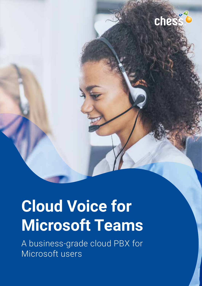

che

A business-grade cloud PBX for Microsoft users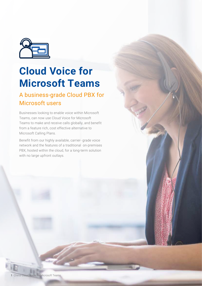

# **Cloud Voice for Microsoft Teams**

# A business-grade Cloud PBX for Microsoft users

Businesses looking to enable voice within Microsoft Teams, can now use Cloud Voice for Microsoft Teams to make and receive calls globally, and benefit from a feature rich, cost effective alternative to Microsoft Calling Plans.

Benefit from our highly available, carrier- grade voice network and the features of a traditional on-premises PBX, hosted within the cloud, for a long-term solution with no large upfront outlays.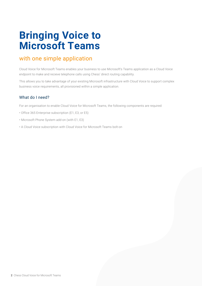# **Bringing Voice to Microsoft Teams**

# with one simple application

Cloud Voice for Microsoft Teams enables your business to use Microsoft's Teams application as a Cloud Voice endpoint to make and recieve telephone calls using Chess' direct routing capability.

This allows you to take advantage of your existing Microsoft infrastructure with Cloud Voice to support complex business voice requirements, all provisioned within a simple application.

## What do I need?

For an organisation to enable Cloud Voice for Microsoft Teams, the following components are required:

- Office 365 Enterprise subscription (E1, E3, or E5)
- Microsoft Phone System add-on (with E1, E3)
- A Cloud Voice subscription with Cloud Voice for Microsoft Teams bolt-on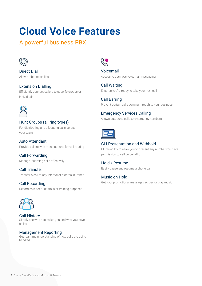# **Cloud Voice Features**

A powerful business PBX



Direct Dial Allows inbound calling

## Extension Dialling

Efficiently connect callers to specific groups or individuals



# Hunt Groups (all ring types)

For distributing and allocating calls across your team

Auto Attendant

Provide callers with menu options for call routing

Call Forwarding Manage incoming calls effectively

Call Transfer Transfer a call to any internal or external number

# Call Recording

Record calls for audit trails or training purposes



Call History Simply see who has called you and who you have called

#### Management Reporting

Get real-time understanding of how calls are being handled



Voicemail Access to business voicemail messaging

Call Waiting Ensures you're ready to take your next call

Call Barring Prevent certain calls coming through to your business

## Emergency Services Calling

Allows outbound calls to emergency numbers



## CLI Presentation and Withhold

CLI flexibility to allow you to present any number you have permission to call on behalf of

## Hold / Resume

Easily pause and resume a phone call

## Music on Hold

Get your promotional messages across or play music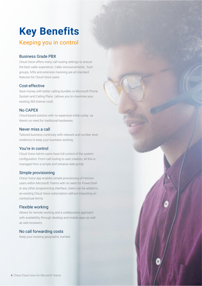# **Key Benefits**

# Keeping you in control

### Business Grade PBX

Cloud Voice offers many call routing settings to ensure the best caller experience. Caller announcements, hunt groups, IVRs and extension twinning are all standard features for Cloud Voice users.

#### Cost-effective

Save money with better calling bundles vs Microsoft Phone System and Calling Plans (allows you to maximise your existing 365 license cost).

#### No CAPEX

Cloud-based solution with no expensive initial outlay as there's no need for traditional hardwares.

#### Never miss a call

Tailored business continuity with network and number level resilience to keep your business working.

#### You're in control

Cloud Voice Admin users have full control of the system configuration. From call routing to user creation, all this is managed from a simple and initiative web portal.

#### Simple provisioning

Chess Voice app enables simple provisioning of Horizon users within Microsoft Teams with no need for PowerShell or any other programming interface. Users can be added to an existing Cloud Voice subscription without impacting on contractual terms.

#### Flexible working

Allows for remote working and a collaborative approach with availablility through desktop and mobile apps as well as web browsers.

## No call forwarding costs

Keep your existing geographic number.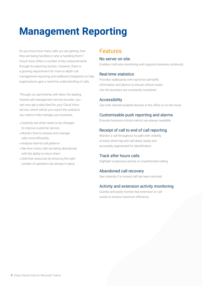# **Management Reporting**

Do you know how many calls you are getting, how they are being handled or who is handling them? Cloud Voice offers a number of key measurements through its reporting section. However, there is a growing requirement for more in-depth call management reporting and wallboard integration to help organisations gain a real-time understanding of calls.

Through our partnership with Akixi, the leading hosted call-management service provider, you can now get a data feed for your Cloud Voice service, which will let you export the statistics you need to help manage your business.

- Instantly see what needs to be changed to improve customer service
- Monitor time to answer and manage calls more efficiently
- Analyse internal call patterns
- See how many calls are being abandoned with the ability to return them
- Optimise resources by ensuring the right number of operators are always in place

# Features

#### No server on site

Enables multi-site monitoring and supports business continuity

#### Real-time statistics

Provides wallboards with real-time call-traffic information and alarms to ensure critical routes into the business are constantly monitored

#### Accessibility

Use with internet-enabled devices in the office or on the move

## Customisable push reporting and alarms

Ensures business-critical metrics are always available

## Receipt of call to end of call reporting

Monitor a call throughout its path with visibility of every divert leg and call detail, easily and accurately segmented for identification

## Track after hours calls

Highlight suspicious activity or unauthorised calling

## Abandoned call recovery

See instantly if a missed call has been returned

#### Activity and extension activity monitoring

Quickly and easily monitor key extension or call routes to ensure maximum efficiency